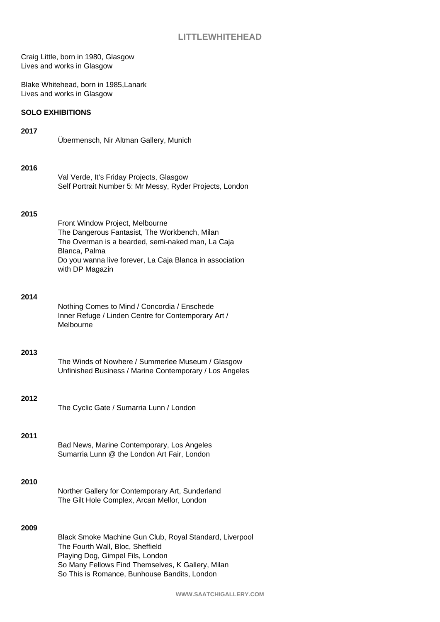Craig Little, born in 1980, Glasgow Lives and works in Glasgow

Blake Whitehead, born in 1985,Lanark Lives and works in Glasgow

# **SOLO EXHIBITIONS**

# **2017** Übermensch, Nir Altman Gallery, Munich **2016** Val Verde, It's Friday Projects, Glasgow Self Portrait Number 5: Mr Messy, Ryder Projects, London

# **2015**

| Front Window Project, Melbourne                          |
|----------------------------------------------------------|
| The Dangerous Fantasist, The Workbench, Milan            |
| The Overman is a bearded, semi-naked man, La Caja        |
| Blanca, Palma                                            |
| Do you wanna live forever, La Caja Blanca in association |
| with DP Magazin                                          |
|                                                          |

# **2014**

| Nothing Comes to Mind / Concordia / Enschede        |
|-----------------------------------------------------|
| Inner Refuge / Linden Centre for Contemporary Art / |
| Melbourne                                           |

# **2013**

The Winds of Nowhere / Summerlee Museum / Glasgow Unfinished Business / Marine Contemporary / Los Angeles

# **2012**

The Cyclic Gate / Sumarria Lunn / London

# **2011**

Bad News, Marine Contemporary, Los Angeles Sumarria Lunn @ the London Art Fair, London

# **2010**

Norther Gallery for Contemporary Art, Sunderland The Gilt Hole Complex, Arcan Mellor, London

# **2009**

Black Smoke Machine Gun Club, Royal Standard, Liverpool The Fourth Wall, Bloc, Sheffield Playing Dog, Gimpel Fils, London So Many Fellows Find Themselves, K Gallery, Milan So This is Romance, Bunhouse Bandits, London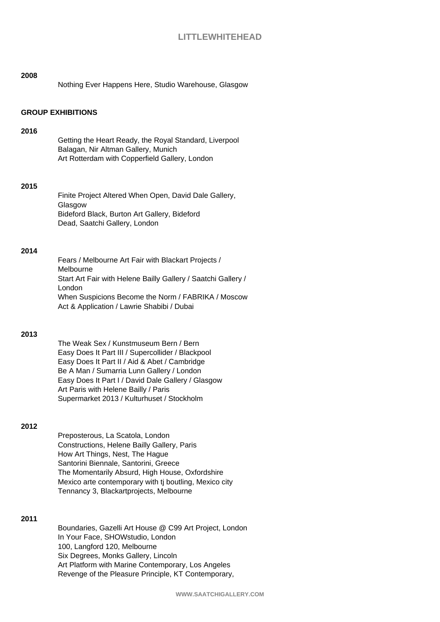# **LITTLEWHITEHEAD**

| 2008                     | Nothing Ever Happens Here, Studio Warehouse, Glasgow                                                                                                                                                                                                                                                                                  |  |
|--------------------------|---------------------------------------------------------------------------------------------------------------------------------------------------------------------------------------------------------------------------------------------------------------------------------------------------------------------------------------|--|
| <b>GROUP EXHIBITIONS</b> |                                                                                                                                                                                                                                                                                                                                       |  |
| 2016                     | Getting the Heart Ready, the Royal Standard, Liverpool<br>Balagan, Nir Altman Gallery, Munich<br>Art Rotterdam with Copperfield Gallery, London                                                                                                                                                                                       |  |
| 2015                     | Finite Project Altered When Open, David Dale Gallery,<br>Glasgow<br>Bideford Black, Burton Art Gallery, Bideford<br>Dead, Saatchi Gallery, London                                                                                                                                                                                     |  |
| 2014                     | Fears / Melbourne Art Fair with Blackart Projects /<br>Melbourne<br>Start Art Fair with Helene Bailly Gallery / Saatchi Gallery /<br>London<br>When Suspicions Become the Norm / FABRIKA / Moscow<br>Act & Application / Lawrie Shabibi / Dubai                                                                                       |  |
| 2013                     | The Weak Sex / Kunstmuseum Bern / Bern<br>Easy Does It Part III / Supercollider / Blackpool<br>Easy Does It Part II / Aid & Abet / Cambridge<br>Be A Man / Sumarria Lunn Gallery / London<br>Easy Does It Part I / David Dale Gallery / Glasgow<br>Art Paris with Helene Bailly / Paris<br>Supermarket 2013 / Kulturhuset / Stockholm |  |
| 2012                     |                                                                                                                                                                                                                                                                                                                                       |  |

Preposterous, La Scatola, London Constructions, Helene Bailly Gallery, Paris How Art Things, Nest, The Hague Santorini Biennale, Santorini, Greece The Momentarily Absurd, High House, Oxfordshire Mexico arte contemporary with tj boutling, Mexico city Tennancy 3, Blackartprojects, Melbourne

# **2011**

Boundaries, Gazelli Art House @ C99 Art Project, London In Your Face, SHOWstudio, London 100, Langford 120, Melbourne Six Degrees, Monks Gallery, Lincoln Art Platform with Marine Contemporary, Los Angeles Revenge of the Pleasure Principle, KT Contemporary,